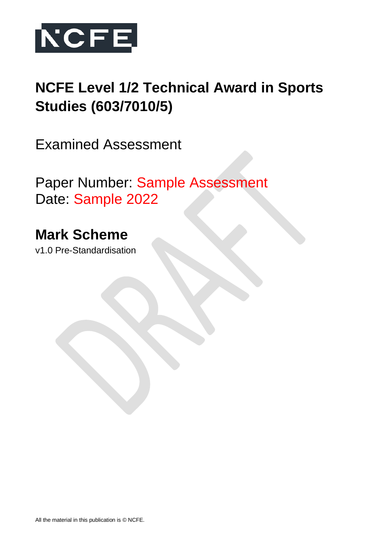

# **NCFE Level 1/2 Technical Award in Sports Studies (603/7010/5)**

Examined Assessment

Paper Number: Sample Assessment Date: Sample 2022

# **Mark Scheme**

v1.0 Pre-Standardisation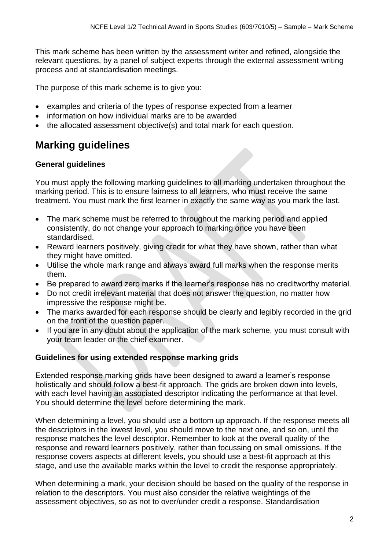This mark scheme has been written by the assessment writer and refined, alongside the relevant questions, by a panel of subject experts through the external assessment writing process and at standardisation meetings.

The purpose of this mark scheme is to give you:

- examples and criteria of the types of response expected from a learner
- information on how individual marks are to be awarded
- the allocated assessment objective(s) and total mark for each question.

# **Marking guidelines**

### **General guidelines**

You must apply the following marking guidelines to all marking undertaken throughout the marking period. This is to ensure fairness to all learners, who must receive the same treatment. You must mark the first learner in exactly the same way as you mark the last.

- The mark scheme must be referred to throughout the marking period and applied consistently, do not change your approach to marking once you have been standardised.
- Reward learners positively, giving credit for what they have shown, rather than what they might have omitted.
- Utilise the whole mark range and always award full marks when the response merits them.
- Be prepared to award zero marks if the learner's response has no creditworthy material.
- Do not credit irrelevant material that does not answer the question, no matter how impressive the response might be.
- The marks awarded for each response should be clearly and legibly recorded in the grid on the front of the question paper.
- If you are in any doubt about the application of the mark scheme, you must consult with your team leader or the chief examiner.

### **Guidelines for using extended response marking grids**

Extended response marking grids have been designed to award a learner's response holistically and should follow a best-fit approach. The grids are broken down into levels, with each level having an associated descriptor indicating the performance at that level. You should determine the level before determining the mark.

When determining a level, you should use a bottom up approach. If the response meets all the descriptors in the lowest level, you should move to the next one, and so on, until the response matches the level descriptor. Remember to look at the overall quality of the response and reward learners positively, rather than focussing on small omissions. If the response covers aspects at different levels, you should use a best-fit approach at this stage, and use the available marks within the level to credit the response appropriately.

When determining a mark, your decision should be based on the quality of the response in relation to the descriptors. You must also consider the relative weightings of the assessment objectives, so as not to over/under credit a response. Standardisation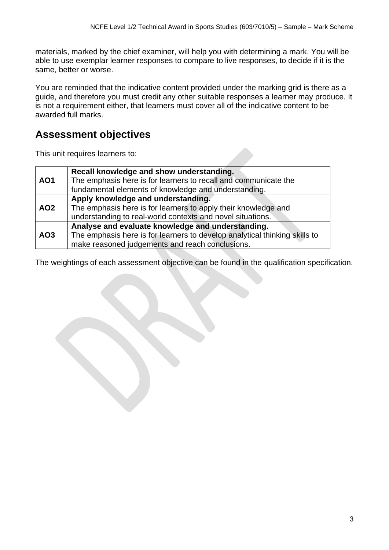materials, marked by the chief examiner, will help you with determining a mark. You will be able to use exemplar learner responses to compare to live responses, to decide if it is the same, better or worse.

You are reminded that the indicative content provided under the marking grid is there as a guide, and therefore you must credit any other suitable responses a learner may produce. It is not a requirement either, that learners must cover all of the indicative content to be awarded full marks.

# **Assessment objectives**

This unit requires learners to:

|            | Recall knowledge and show understanding.                                   |
|------------|----------------------------------------------------------------------------|
| <b>AO1</b> | The emphasis here is for learners to recall and communicate the            |
|            | fundamental elements of knowledge and understanding.                       |
|            | Apply knowledge and understanding.                                         |
| <b>AO2</b> | The emphasis here is for learners to apply their knowledge and             |
|            | understanding to real-world contexts and novel situations.                 |
|            | Analyse and evaluate knowledge and understanding.                          |
| AO3        | The emphasis here is for learners to develop analytical thinking skills to |
|            | make reasoned judgements and reach conclusions.                            |

The weightings of each assessment objective can be found in the qualification specification.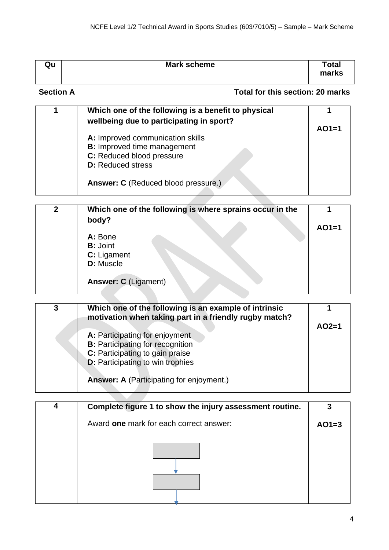| Qu               | <b>Mark scheme</b>               | Total<br>marks |
|------------------|----------------------------------|----------------|
| <b>Section A</b> | Total for this section: 20 marks |                |

| Which one of the following is a benefit to physical<br>wellbeing due to participating in sport?                                 | $AO1=1$ |
|---------------------------------------------------------------------------------------------------------------------------------|---------|
| A: Improved communication skills<br><b>B:</b> Improved time management<br>C: Reduced blood pressure<br><b>D:</b> Reduced stress |         |
| Answer: C (Reduced blood pressure.)                                                                                             |         |

| $\mathbf{2}$ | Which one of the following is where sprains occur in the<br>body? |         |
|--------------|-------------------------------------------------------------------|---------|
|              |                                                                   | $AO1=1$ |
|              | A: Bone                                                           |         |
|              | <b>B:</b> Joint                                                   |         |
|              | C: Ligament                                                       |         |
|              | D: Muscle                                                         |         |
|              | <b>Answer: C (Ligament)</b>                                       |         |

| 3 | Which one of the following is an example of intrinsic<br>motivation when taking part in a friendly rugby match?<br>A: Participating for enjoyment<br><b>B:</b> Participating for recognition<br>C: Participating to gain praise<br><b>D:</b> Participating to win trophies<br><b>Answer: A (Participating for enjoyment.)</b> | $AO2=1$ |
|---|-------------------------------------------------------------------------------------------------------------------------------------------------------------------------------------------------------------------------------------------------------------------------------------------------------------------------------|---------|
|   |                                                                                                                                                                                                                                                                                                                               |         |

| 4 | Complete figure 1 to show the injury assessment routine. |         |
|---|----------------------------------------------------------|---------|
|   | Award one mark for each correct answer:                  | $AO1=3$ |
|   |                                                          |         |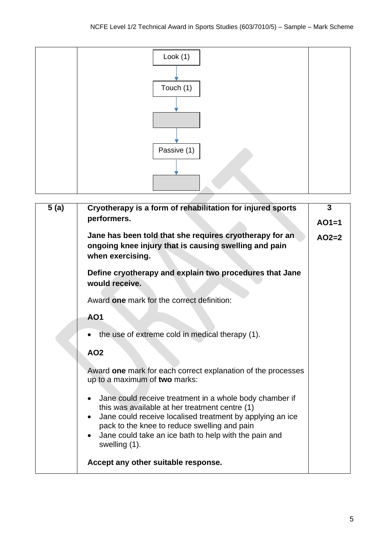

| 5(a) | Cryotherapy is a form of rehabilitation for injured sports                                                                                                                                                                                                                                                                 | 3       |
|------|----------------------------------------------------------------------------------------------------------------------------------------------------------------------------------------------------------------------------------------------------------------------------------------------------------------------------|---------|
|      | performers.                                                                                                                                                                                                                                                                                                                | $AO1=1$ |
|      | Jane has been told that she requires cryotherapy for an<br>ongoing knee injury that is causing swelling and pain<br>when exercising.                                                                                                                                                                                       | $AO2=2$ |
|      | Define cryotherapy and explain two procedures that Jane<br>would receive.                                                                                                                                                                                                                                                  |         |
|      | Award one mark for the correct definition:                                                                                                                                                                                                                                                                                 |         |
|      | <b>AO1</b>                                                                                                                                                                                                                                                                                                                 |         |
|      | the use of extreme cold in medical therapy (1).                                                                                                                                                                                                                                                                            |         |
|      | <b>AO2</b>                                                                                                                                                                                                                                                                                                                 |         |
|      | Award one mark for each correct explanation of the processes<br>up to a maximum of two marks:                                                                                                                                                                                                                              |         |
|      | Jane could receive treatment in a whole body chamber if<br>this was available at her treatment centre (1)<br>Jane could receive localised treatment by applying an ice<br>$\bullet$<br>pack to the knee to reduce swelling and pain<br>Jane could take an ice bath to help with the pain and<br>$\bullet$<br>swelling (1). |         |
|      | Accept any other suitable response.                                                                                                                                                                                                                                                                                        |         |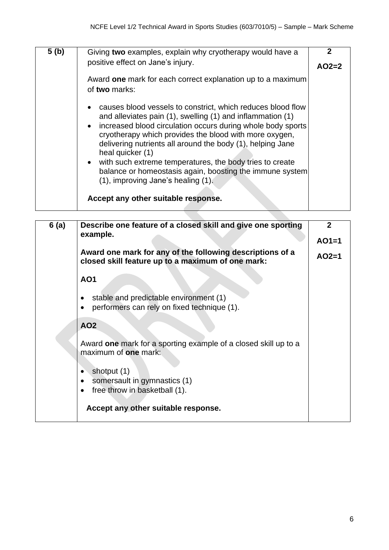| 5 <sub>(b)</sub> | Giving two examples, explain why cryotherapy would have a                                                                                                                                                                                                                                                                                                                                                                                                                                                                                 | 2       |
|------------------|-------------------------------------------------------------------------------------------------------------------------------------------------------------------------------------------------------------------------------------------------------------------------------------------------------------------------------------------------------------------------------------------------------------------------------------------------------------------------------------------------------------------------------------------|---------|
|                  | positive effect on Jane's injury.                                                                                                                                                                                                                                                                                                                                                                                                                                                                                                         | $AO2=2$ |
|                  | Award one mark for each correct explanation up to a maximum<br>of two marks:                                                                                                                                                                                                                                                                                                                                                                                                                                                              |         |
|                  | causes blood vessels to constrict, which reduces blood flow<br>and alleviates pain (1), swelling (1) and inflammation (1)<br>increased blood circulation occurs during whole body sports<br>cryotherapy which provides the blood with more oxygen,<br>delivering nutrients all around the body (1), helping Jane<br>heal quicker (1)<br>with such extreme temperatures, the body tries to create<br>balance or homeostasis again, boosting the immune system<br>(1), improving Jane's healing (1).<br>Accept any other suitable response. |         |
|                  |                                                                                                                                                                                                                                                                                                                                                                                                                                                                                                                                           |         |

| 6(a) | Describe one feature of a closed skill and give one sporting                                                   | $\mathbf{2}$ |
|------|----------------------------------------------------------------------------------------------------------------|--------------|
|      | example.                                                                                                       | $AO1=1$      |
|      | Award one mark for any of the following descriptions of a<br>closed skill feature up to a maximum of one mark: | $AO2=1$      |
|      | <b>AO1</b>                                                                                                     |              |
|      | stable and predictable environment (1)                                                                         |              |
|      | performers can rely on fixed technique (1).                                                                    |              |
|      | <b>AO2</b>                                                                                                     |              |
|      | Award one mark for a sporting example of a closed skill up to a<br>maximum of one mark:                        |              |
|      | shotput (1)                                                                                                    |              |
|      | somersault in gymnastics (1)                                                                                   |              |
|      | free throw in basketball (1).                                                                                  |              |
|      | Accept any other suitable response.                                                                            |              |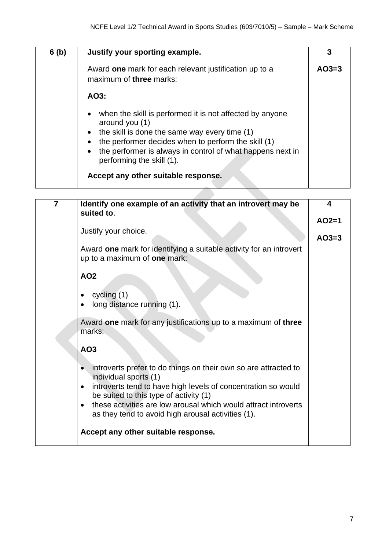| 6(b) | Justify your sporting example.                                                                                                                                                                                                                                                                                       | 3       |
|------|----------------------------------------------------------------------------------------------------------------------------------------------------------------------------------------------------------------------------------------------------------------------------------------------------------------------|---------|
|      | Award one mark for each relevant justification up to a<br>maximum of three marks:                                                                                                                                                                                                                                    | $AO3=3$ |
|      | AO3:                                                                                                                                                                                                                                                                                                                 |         |
|      | when the skill is performed it is not affected by anyone<br>around you (1)<br>the skill is done the same way every time (1)<br>the performer decides when to perform the skill (1)<br>the performer is always in control of what happens next in<br>performing the skill (1).<br>Accept any other suitable response. |         |

| $\overline{7}$ | Identify one example of an activity that an introvert may be<br>suited to.                                                                                                                                                                                                                                                                | 4                  |
|----------------|-------------------------------------------------------------------------------------------------------------------------------------------------------------------------------------------------------------------------------------------------------------------------------------------------------------------------------------------|--------------------|
|                | Justify your choice.<br>Award one mark for identifying a suitable activity for an introvert<br>up to a maximum of one mark:                                                                                                                                                                                                               | $AO2=1$<br>$AO3=3$ |
|                | <b>AO2</b>                                                                                                                                                                                                                                                                                                                                |                    |
|                | cycling $(1)$<br>long distance running (1).                                                                                                                                                                                                                                                                                               |                    |
|                | Award one mark for any justifications up to a maximum of three<br>marks:                                                                                                                                                                                                                                                                  |                    |
|                | AO <sub>3</sub>                                                                                                                                                                                                                                                                                                                           |                    |
|                | introverts prefer to do things on their own so are attracted to<br>individual sports (1)<br>introverts tend to have high levels of concentration so would<br>$\bullet$<br>be suited to this type of activity (1)<br>these activities are low arousal which would attract introverts<br>as they tend to avoid high arousal activities (1). |                    |
|                | Accept any other suitable response.                                                                                                                                                                                                                                                                                                       |                    |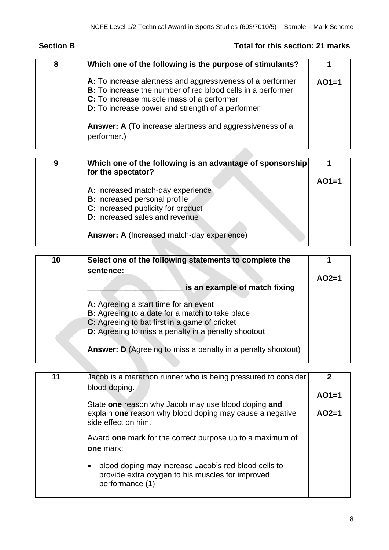## **Section B Total for this section: 21 marks**

| 8 | Which one of the following is the purpose of stimulants?                                                                                                                                                                          |         |
|---|-----------------------------------------------------------------------------------------------------------------------------------------------------------------------------------------------------------------------------------|---------|
|   | A: To increase alertness and aggressiveness of a performer<br><b>B:</b> To increase the number of red blood cells in a performer<br>C: To increase muscle mass of a performer<br>D: To increase power and strength of a performer | $AO1=1$ |
|   | Answer: A (To increase alertness and aggressiveness of a<br>performer.)                                                                                                                                                           |         |

| 9 | Which one of the following is an advantage of sponsorship<br>for the spectator? |         |
|---|---------------------------------------------------------------------------------|---------|
|   |                                                                                 | $AO1=1$ |
|   | A: Increased match-day experience<br><b>B:</b> Increased personal profile       |         |
|   | C: Increased publicity for product                                              |         |
|   | <b>D:</b> Increased sales and revenue                                           |         |
|   | Answer: A (Increased match-day experience)                                      |         |

| 10 | Select one of the following statements to complete the<br>sentence: |         |
|----|---------------------------------------------------------------------|---------|
|    |                                                                     | $AO2=1$ |
|    | is an example of match fixing                                       |         |
|    | A: Agreeing a start time for an event                               |         |
|    | B: Agreeing to a date for a match to take place                     |         |
|    | C: Agreeing to bat first in a game of cricket                       |         |
|    | D: Agreeing to miss a penalty in a penalty shootout                 |         |
|    | <b>Answer: D</b> (Agreeing to miss a penalty in a penalty shootout) |         |

| Jacob is a marathon runner who is being pressured to consider<br>blood doping.                                                           |         |
|------------------------------------------------------------------------------------------------------------------------------------------|---------|
|                                                                                                                                          | $AO1=1$ |
| State one reason why Jacob may use blood doping and<br>explain one reason why blood doping may cause a negative<br>side effect on him.   | $AO2=1$ |
| Award one mark for the correct purpose up to a maximum of<br>one mark:                                                                   |         |
| blood doping may increase Jacob's red blood cells to<br>$\bullet$<br>provide extra oxygen to his muscles for improved<br>performance (1) |         |
|                                                                                                                                          |         |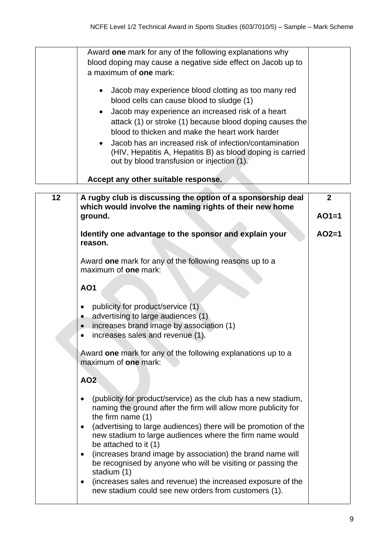|    | Award one mark for any of the following explanations why                                                                                                             |              |
|----|----------------------------------------------------------------------------------------------------------------------------------------------------------------------|--------------|
|    | blood doping may cause a negative side effect on Jacob up to                                                                                                         |              |
|    | a maximum of one mark:                                                                                                                                               |              |
|    | Jacob may experience blood clotting as too many red<br>$\bullet$<br>blood cells can cause blood to sludge (1)                                                        |              |
|    | Jacob may experience an increased risk of a heart<br>$\bullet$                                                                                                       |              |
|    | attack (1) or stroke (1) because blood doping causes the                                                                                                             |              |
|    | blood to thicken and make the heart work harder                                                                                                                      |              |
|    | Jacob has an increased risk of infection/contamination                                                                                                               |              |
|    | $\bullet$<br>(HIV, Hepatitis A, Hepatitis B) as blood doping is carried<br>out by blood transfusion or injection (1).                                                |              |
|    | Accept any other suitable response.                                                                                                                                  |              |
| 12 | A rugby club is discussing the option of a sponsorship deal                                                                                                          | $\mathbf{2}$ |
|    | which would involve the naming rights of their new home                                                                                                              |              |
|    | ground.                                                                                                                                                              | $AO1=1$      |
|    |                                                                                                                                                                      |              |
|    | Identify one advantage to the sponsor and explain your<br>reason.                                                                                                    | $AO2=1$      |
|    | Award one mark for any of the following reasons up to a<br>maximum of <b>one</b> mark:                                                                               |              |
|    | <b>AO1</b>                                                                                                                                                           |              |
|    | publicity for product/service (1)<br>٠                                                                                                                               |              |
|    | advertising to large audiences (1)                                                                                                                                   |              |
|    | increases brand image by association (1)                                                                                                                             |              |
|    | increases sales and revenue (1).                                                                                                                                     |              |
|    | Award one mark for any of the following explanations up to a<br>maximum of one mark:                                                                                 |              |
|    | <b>AO2</b>                                                                                                                                                           |              |
|    | (publicity for product/service) as the club has a new stadium,<br>$\bullet$<br>naming the ground after the firm will allow more publicity for<br>the firm name $(1)$ |              |
|    | (advertising to large audiences) there will be promotion of the<br>$\bullet$                                                                                         |              |
|    | new stadium to large audiences where the firm name would                                                                                                             |              |
|    | be attached to it (1)                                                                                                                                                |              |
|    | (increases brand image by association) the brand name will<br>٠                                                                                                      |              |
|    | be recognised by anyone who will be visiting or passing the                                                                                                          |              |
|    | stadium (1)                                                                                                                                                          |              |
|    | (increases sales and revenue) the increased exposure of the<br>$\bullet$<br>new stadium could see new orders from customers (1).                                     |              |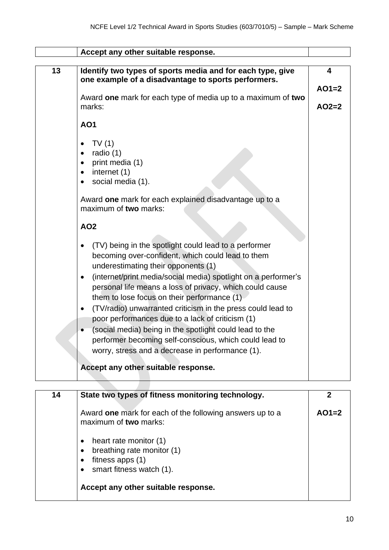|    | Accept any other suitable response.                                         |                         |
|----|-----------------------------------------------------------------------------|-------------------------|
|    |                                                                             |                         |
| 13 | Identify two types of sports media and for each type, give                  | $\overline{\mathbf{4}}$ |
|    | one example of a disadvantage to sports performers.                         |                         |
|    |                                                                             | $AO1=2$                 |
|    | Award one mark for each type of media up to a maximum of two                |                         |
|    | marks:                                                                      | $AO2=2$                 |
|    | <b>AO1</b>                                                                  |                         |
|    |                                                                             |                         |
|    | TV(1)                                                                       |                         |
|    | radio (1)                                                                   |                         |
|    | print media (1)<br>$\bullet$                                                |                         |
|    | internet (1)<br>$\bullet$                                                   |                         |
|    | social media (1).<br>$\bullet$                                              |                         |
|    |                                                                             |                         |
|    | Award one mark for each explained disadvantage up to a                      |                         |
|    | maximum of two marks:                                                       |                         |
|    |                                                                             |                         |
|    | <b>AO2</b>                                                                  |                         |
|    | (TV) being in the spotlight could lead to a performer                       |                         |
|    | becoming over-confident, which could lead to them                           |                         |
|    |                                                                             |                         |
|    | underestimating their opponents (1)                                         |                         |
|    | (internet/print media/social media) spotlight on a performer's<br>$\bullet$ |                         |
|    | personal life means a loss of privacy, which could cause                    |                         |
|    | them to lose focus on their performance (1)                                 |                         |
|    | (TV/radio) unwarranted criticism in the press could lead to<br>$\bullet$    |                         |
|    | poor performances due to a lack of criticism (1)                            |                         |
|    | (social media) being in the spotlight could lead to the                     |                         |
|    | performer becoming self-conscious, which could lead to                      |                         |
|    | worry, stress and a decrease in performance (1).                            |                         |
|    |                                                                             |                         |
|    | Accept any other suitable response.                                         |                         |
|    |                                                                             |                         |

| 14 | State two types of fitness monitoring technology.                                                      | 2       |
|----|--------------------------------------------------------------------------------------------------------|---------|
|    | Award one mark for each of the following answers up to a<br>maximum of two marks:                      | $AO1=2$ |
|    | heart rate monitor (1)<br>breathing rate monitor (1)<br>fitness apps $(1)$<br>smart fitness watch (1). |         |
|    | Accept any other suitable response.                                                                    |         |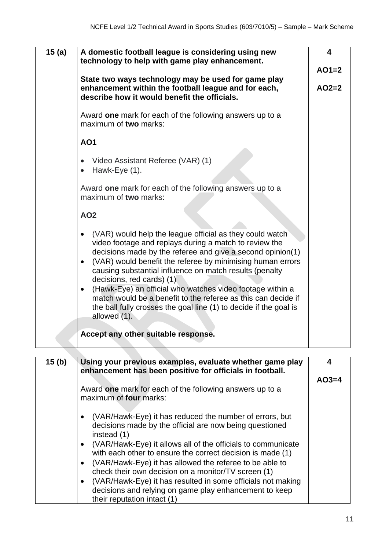| 15(a) | A domestic football league is considering using new<br>technology to help with game play enhancement.                                                                                                                                                                                                                                                                                                                                                                                                                                                                               | $\overline{\mathbf{4}}$ |
|-------|-------------------------------------------------------------------------------------------------------------------------------------------------------------------------------------------------------------------------------------------------------------------------------------------------------------------------------------------------------------------------------------------------------------------------------------------------------------------------------------------------------------------------------------------------------------------------------------|-------------------------|
|       |                                                                                                                                                                                                                                                                                                                                                                                                                                                                                                                                                                                     | $AO1=2$                 |
|       | State two ways technology may be used for game play<br>enhancement within the football league and for each,<br>describe how it would benefit the officials.                                                                                                                                                                                                                                                                                                                                                                                                                         | $AO2=2$                 |
|       | Award one mark for each of the following answers up to a<br>maximum of two marks:                                                                                                                                                                                                                                                                                                                                                                                                                                                                                                   |                         |
|       | <b>AO1</b>                                                                                                                                                                                                                                                                                                                                                                                                                                                                                                                                                                          |                         |
|       | Video Assistant Referee (VAR) (1)<br>Hawk-Eye (1).                                                                                                                                                                                                                                                                                                                                                                                                                                                                                                                                  |                         |
|       | Award one mark for each of the following answers up to a<br>maximum of two marks:                                                                                                                                                                                                                                                                                                                                                                                                                                                                                                   |                         |
|       | <b>AO2</b>                                                                                                                                                                                                                                                                                                                                                                                                                                                                                                                                                                          |                         |
|       | (VAR) would help the league official as they could watch<br>video footage and replays during a match to review the<br>decisions made by the referee and give a second opinion(1)<br>(VAR) would benefit the referee by minimising human errors<br>$\bullet$<br>causing substantial influence on match results (penalty<br>decisions, red cards) (1)<br>(Hawk-Eye) an official who watches video footage within a<br>$\bullet$<br>match would be a benefit to the referee as this can decide if<br>the ball fully crosses the goal line (1) to decide if the goal is<br>allowed (1). |                         |
|       | Accept any other suitable response.                                                                                                                                                                                                                                                                                                                                                                                                                                                                                                                                                 |                         |

| 15 <sub>(b)</sub> | Using your previous examples, evaluate whether game play<br>enhancement has been positive for officials in football. | 4       |
|-------------------|----------------------------------------------------------------------------------------------------------------------|---------|
|                   |                                                                                                                      | $AO3=4$ |
|                   | Award one mark for each of the following answers up to a                                                             |         |
|                   | maximum of four marks:                                                                                               |         |
|                   |                                                                                                                      |         |
|                   | (VAR/Hawk-Eye) it has reduced the number of errors, but                                                              |         |
|                   | decisions made by the official are now being questioned<br>instead (1)                                               |         |
|                   | (VAR/Hawk-Eye) it allows all of the officials to communicate                                                         |         |
|                   | with each other to ensure the correct decision is made (1)                                                           |         |
|                   | (VAR/Hawk-Eye) it has allowed the referee to be able to                                                              |         |
|                   | check their own decision on a monitor/TV screen (1)                                                                  |         |
|                   | (VAR/Hawk-Eye) it has resulted in some officials not making                                                          |         |
|                   | decisions and relying on game play enhancement to keep                                                               |         |
|                   | their reputation intact (1)                                                                                          |         |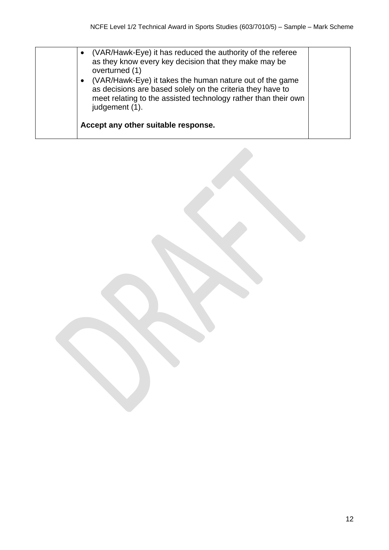| (VAR/Hawk-Eye) it has reduced the authority of the referee<br>$\bullet$<br>as they know every key decision that they make may be<br>overturned (1)<br>(VAR/Hawk-Eye) it takes the human nature out of the game<br>$\bullet$<br>as decisions are based solely on the criteria they have to<br>meet relating to the assisted technology rather than their own<br>judgement (1). |  |
|-------------------------------------------------------------------------------------------------------------------------------------------------------------------------------------------------------------------------------------------------------------------------------------------------------------------------------------------------------------------------------|--|
| Accept any other suitable response.                                                                                                                                                                                                                                                                                                                                           |  |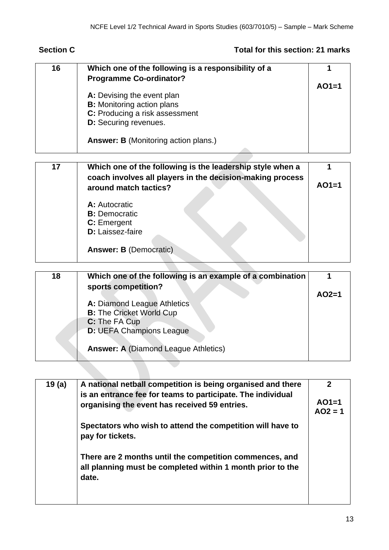### **Section C Total for this section: 21 marks**

| 16 | Which one of the following is a responsibility of a |         |
|----|-----------------------------------------------------|---------|
|    | <b>Programme Co-ordinator?</b>                      |         |
|    |                                                     | $AO1=1$ |
|    | A: Devising the event plan                          |         |
|    | <b>B:</b> Monitoring action plans                   |         |
|    | C: Producing a risk assessment                      |         |
|    | <b>D:</b> Securing revenues.                        |         |
|    |                                                     |         |
|    | <b>Answer: B</b> (Monitoring action plans.)         |         |
|    |                                                     |         |

| 17 | Which one of the following is the leadership style when a<br>coach involves all players in the decision-making process<br>around match tactics? | $AO1=1$ |
|----|-------------------------------------------------------------------------------------------------------------------------------------------------|---------|
|    | A: Autocratic<br><b>B:</b> Democratic<br>C: Emergent<br>D: Laissez-faire<br><b>Answer: B (Democratic)</b>                                       |         |

| 18 | Which one of the following is an example of a combination |         |
|----|-----------------------------------------------------------|---------|
|    | sports competition?                                       |         |
|    |                                                           | $AO2=1$ |
|    | A: Diamond League Athletics                               |         |
|    | <b>B:</b> The Cricket World Cup                           |         |
|    | C: The FA Cup                                             |         |
|    | <b>D: UEFA Champions League</b>                           |         |
|    | <b>Answer: A (Diamond League Athletics)</b>               |         |

| 19(a) | A national netball competition is being organised and there<br>is an entrance fee for teams to participate. The individual<br>organising the event has received 59 entries. | 2<br>$AO1=1$<br>$AO2 = 1$ |
|-------|-----------------------------------------------------------------------------------------------------------------------------------------------------------------------------|---------------------------|
|       | Spectators who wish to attend the competition will have to<br>pay for tickets.                                                                                              |                           |
|       | There are 2 months until the competition commences, and<br>all planning must be completed within 1 month prior to the<br>date.                                              |                           |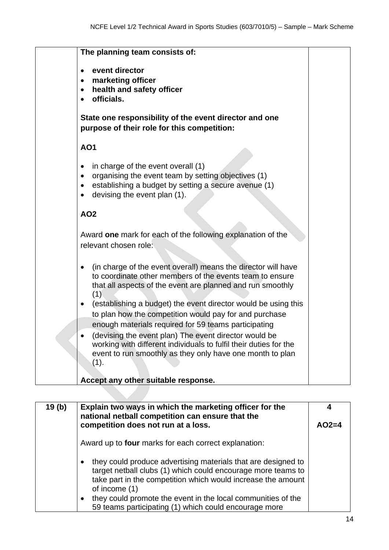|                     | The planning team consists of:                                                                                                                                                                                                                                                                                             |  |  |  |  |
|---------------------|----------------------------------------------------------------------------------------------------------------------------------------------------------------------------------------------------------------------------------------------------------------------------------------------------------------------------|--|--|--|--|
| ٠<br>٠              | event director<br>marketing officer<br>health and safety officer<br>officials.                                                                                                                                                                                                                                             |  |  |  |  |
|                     | State one responsibility of the event director and one<br>purpose of their role for this competition:                                                                                                                                                                                                                      |  |  |  |  |
| <b>AO1</b>          |                                                                                                                                                                                                                                                                                                                            |  |  |  |  |
| ٠<br>٠<br>$\bullet$ | in charge of the event overall (1)<br>organising the event team by setting objectives (1)<br>establishing a budget by setting a secure avenue (1)<br>devising the event plan (1).                                                                                                                                          |  |  |  |  |
|                     | <b>AO2</b>                                                                                                                                                                                                                                                                                                                 |  |  |  |  |
|                     | Award one mark for each of the following explanation of the<br>relevant chosen role:                                                                                                                                                                                                                                       |  |  |  |  |
|                     | (in charge of the event overall) means the director will have<br>to coordinate other members of the events team to ensure<br>that all aspects of the event are planned and run smoothly<br>(1)<br>(establishing a budget) the event director would be using this<br>to plan how the competition would pay for and purchase |  |  |  |  |
|                     | enough materials required for 59 teams participating<br>(devising the event plan) The event director would be<br>working with different individuals to fulfil their duties for the<br>event to run smoothly as they only have one month to plan<br>(1).<br>Accept any other suitable response.                             |  |  |  |  |

| 19(b) | Explain two ways in which the marketing officer for the<br>national netball competition can ensure that the                                                                                                    | 4       |
|-------|----------------------------------------------------------------------------------------------------------------------------------------------------------------------------------------------------------------|---------|
|       | competition does not run at a loss.                                                                                                                                                                            | $AO2=4$ |
|       | Award up to <b>four</b> marks for each correct explanation:                                                                                                                                                    |         |
|       | they could produce advertising materials that are designed to<br>target netball clubs (1) which could encourage more teams to<br>take part in the competition which would increase the amount<br>of income (1) |         |
|       | they could promote the event in the local communities of the<br>59 teams participating (1) which could encourage more                                                                                          |         |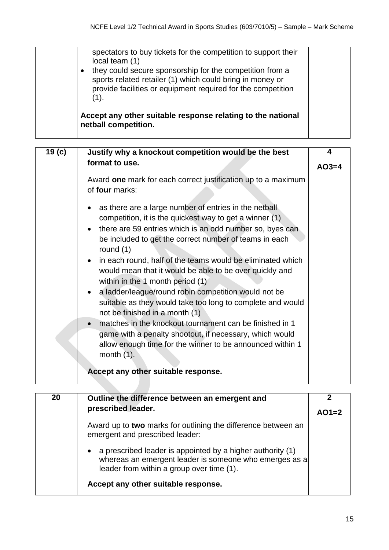| spectators to buy tickets for the competition to support their<br>local team (1)<br>they could secure sponsorship for the competition from a<br>$\bullet$<br>sports related retailer (1) which could bring in money or<br>provide facilities or equipment required for the competition<br>(1). |  |
|------------------------------------------------------------------------------------------------------------------------------------------------------------------------------------------------------------------------------------------------------------------------------------------------|--|
| Accept any other suitable response relating to the national<br>netball competition.                                                                                                                                                                                                            |  |

| 19 <sub>(c)</sub> | Justify why a knockout competition would be the best                                                                                                                                                                                                                                                                                                                                                                                                                                                                                                                                                                                                                                                                                                                                                                                            |         |  |
|-------------------|-------------------------------------------------------------------------------------------------------------------------------------------------------------------------------------------------------------------------------------------------------------------------------------------------------------------------------------------------------------------------------------------------------------------------------------------------------------------------------------------------------------------------------------------------------------------------------------------------------------------------------------------------------------------------------------------------------------------------------------------------------------------------------------------------------------------------------------------------|---------|--|
|                   | format to use.                                                                                                                                                                                                                                                                                                                                                                                                                                                                                                                                                                                                                                                                                                                                                                                                                                  | $AO3=4$ |  |
|                   | Award one mark for each correct justification up to a maximum<br>of four marks:                                                                                                                                                                                                                                                                                                                                                                                                                                                                                                                                                                                                                                                                                                                                                                 |         |  |
|                   | as there are a large number of entries in the netball<br>competition, it is the quickest way to get a winner (1)<br>there are 59 entries which is an odd number so, byes can<br>be included to get the correct number of teams in each<br>round $(1)$<br>in each round, half of the teams would be eliminated which<br>would mean that it would be able to be over quickly and<br>within in the 1 month period (1)<br>a ladder/league/round robin competition would not be<br>$\bullet$<br>suitable as they would take too long to complete and would<br>not be finished in a month (1)<br>matches in the knockout tournament can be finished in 1<br>$\bullet$<br>game with a penalty shootout, if necessary, which would<br>allow enough time for the winner to be announced within 1<br>month $(1)$ .<br>Accept any other suitable response. |         |  |

| 20 | Outline the difference between an emergent and                                                                                                                                 |         |
|----|--------------------------------------------------------------------------------------------------------------------------------------------------------------------------------|---------|
|    | prescribed leader.                                                                                                                                                             | $AO1=2$ |
|    | Award up to two marks for outlining the difference between an<br>emergent and prescribed leader:                                                                               |         |
|    | a prescribed leader is appointed by a higher authority (1)<br>$\bullet$<br>whereas an emergent leader is someone who emerges as a<br>leader from within a group over time (1). |         |
|    | Accept any other suitable response.                                                                                                                                            |         |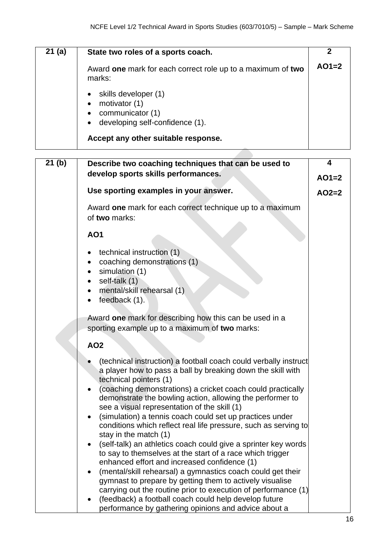| 21(a) | State two roles of a sports coach.                                                                                            |         |
|-------|-------------------------------------------------------------------------------------------------------------------------------|---------|
|       | Award one mark for each correct role up to a maximum of two<br>marks:                                                         | $AO1=2$ |
|       | $\bullet$ skills developer (1)<br>motivator (1)<br>$\bullet$<br>communicator (1)<br>$\bullet$ developing self-confidence (1). |         |
|       | Accept any other suitable response.                                                                                           |         |

| 21(b) | Describe two coaching techniques that can be used to                                                                                                                                                                                                                                                                                  |         |
|-------|---------------------------------------------------------------------------------------------------------------------------------------------------------------------------------------------------------------------------------------------------------------------------------------------------------------------------------------|---------|
|       | develop sports skills performances.                                                                                                                                                                                                                                                                                                   | $AO1=2$ |
|       | Use sporting examples in your answer.                                                                                                                                                                                                                                                                                                 | $AO2=2$ |
|       | Award one mark for each correct technique up to a maximum<br>of two marks:                                                                                                                                                                                                                                                            |         |
|       | <b>AO1</b>                                                                                                                                                                                                                                                                                                                            |         |
|       | technical instruction (1)<br>coaching demonstrations (1)<br>simulation (1)<br>self-talk (1)<br>mental/skill rehearsal (1)<br>feedback (1).<br>$\bullet$                                                                                                                                                                               |         |
|       | Award one mark for describing how this can be used in a<br>sporting example up to a maximum of two marks:                                                                                                                                                                                                                             |         |
|       | <b>AO2</b>                                                                                                                                                                                                                                                                                                                            |         |
|       | (technical instruction) a football coach could verbally instruct<br>a player how to pass a ball by breaking down the skill with<br>technical pointers (1)<br>(coaching demonstrations) a cricket coach could practically<br>demonstrate the bowling action, allowing the performer to<br>see a visual representation of the skill (1) |         |
|       | (simulation) a tennis coach could set up practices under<br>conditions which reflect real life pressure, such as serving to<br>stay in the match (1)                                                                                                                                                                                  |         |
|       | (self-talk) an athletics coach could give a sprinter key words<br>to say to themselves at the start of a race which trigger<br>enhanced effort and increased confidence (1)                                                                                                                                                           |         |
|       | (mental/skill rehearsal) a gymnastics coach could get their<br>gymnast to prepare by getting them to actively visualise<br>carrying out the routine prior to execution of performance (1)                                                                                                                                             |         |
|       | (feedback) a football coach could help develop future<br>performance by gathering opinions and advice about a                                                                                                                                                                                                                         |         |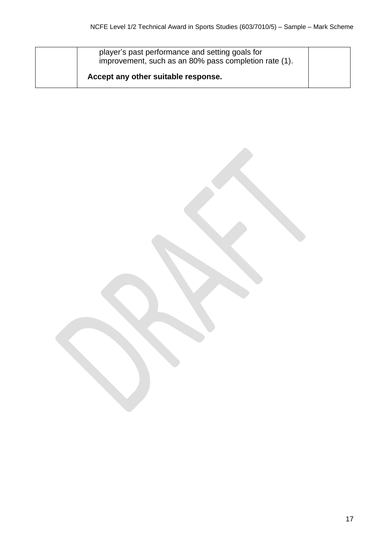| player's past performance and setting goals for<br>improvement, such as an 80% pass completion rate (1). |  |
|----------------------------------------------------------------------------------------------------------|--|
| Accept any other suitable response.                                                                      |  |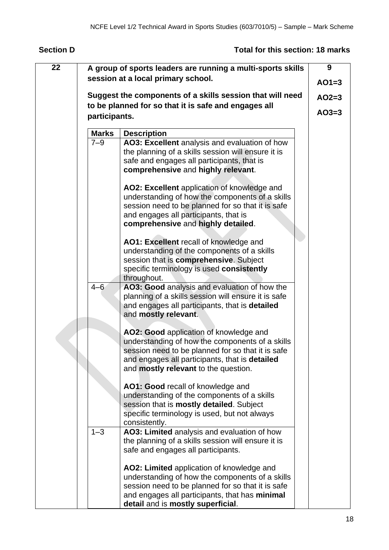## **Section D Total for this section: 18 marks**

| 22 |               | A group of sports leaders are running a multi-sports skills                                                                                                                                                                                     | 9       |
|----|---------------|-------------------------------------------------------------------------------------------------------------------------------------------------------------------------------------------------------------------------------------------------|---------|
|    |               | session at a local primary school.                                                                                                                                                                                                              | $AO1=3$ |
|    |               | Suggest the components of a skills session that will need                                                                                                                                                                                       | $AO2=3$ |
|    | participants. | to be planned for so that it is safe and engages all                                                                                                                                                                                            | $AO3=3$ |
|    |               |                                                                                                                                                                                                                                                 |         |
|    | <b>Marks</b>  | <b>Description</b>                                                                                                                                                                                                                              |         |
|    | $7 - 9$       | AO3: Excellent analysis and evaluation of how<br>the planning of a skills session will ensure it is<br>safe and engages all participants, that is<br>comprehensive and highly relevant.                                                         |         |
|    |               | AO2: Excellent application of knowledge and<br>understanding of how the components of a skills<br>session need to be planned for so that it is safe<br>and engages all participants, that is<br>comprehensive and highly detailed.              |         |
|    |               | AO1: Excellent recall of knowledge and<br>understanding of the components of a skills<br>session that is comprehensive. Subject<br>specific terminology is used consistently<br>throughout.                                                     |         |
|    | $4 - 6$       | AO3: Good analysis and evaluation of how the<br>planning of a skills session will ensure it is safe<br>and engages all participants, that is detailed<br>and mostly relevant.                                                                   |         |
|    |               | AO2: Good application of knowledge and<br>understanding of how the components of a skills<br>session need to be planned for so that it is safe<br>and engages all participants, that is detailed<br>and <b>mostly relevant</b> to the question. |         |
|    |               | AO1: Good recall of knowledge and<br>understanding of the components of a skills<br>session that is mostly detailed. Subject<br>specific terminology is used, but not always<br>consistently.                                                   |         |
|    | $1 - 3$       | AO3: Limited analysis and evaluation of how<br>the planning of a skills session will ensure it is<br>safe and engages all participants.                                                                                                         |         |
|    |               | AO2: Limited application of knowledge and<br>understanding of how the components of a skills<br>session need to be planned for so that it is safe<br>and engages all participants, that has minimal<br>detail and is mostly superficial.        |         |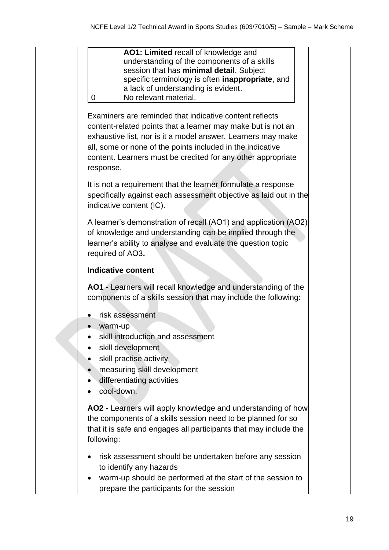| AO1: Limited recall of knowledge and<br>understanding of the components of a skills<br>session that has minimal detail. Subject<br>specific terminology is often inappropriate, and<br>a lack of understanding is evident.<br>No relevant material.<br>$\overline{0}$                                                              |
|------------------------------------------------------------------------------------------------------------------------------------------------------------------------------------------------------------------------------------------------------------------------------------------------------------------------------------|
| Examiners are reminded that indicative content reflects<br>content-related points that a learner may make but is not an<br>exhaustive list, nor is it a model answer. Learners may make<br>all, some or none of the points included in the indicative<br>content. Learners must be credited for any other appropriate<br>response. |
| It is not a requirement that the learner formulate a response<br>specifically against each assessment objective as laid out in the<br>indicative content (IC).                                                                                                                                                                     |
| A learner's demonstration of recall (AO1) and application (AO2)<br>of knowledge and understanding can be implied through the<br>learner's ability to analyse and evaluate the question topic<br>required of AO3.                                                                                                                   |
| <b>Indicative content</b>                                                                                                                                                                                                                                                                                                          |
| AO1 - Learners will recall knowledge and understanding of the<br>components of a skills session that may include the following:                                                                                                                                                                                                    |
| risk assessment<br>warm-up<br>skill introduction and assessment<br>skill development<br>skill practise activity<br>measuring skill development<br>differentiating activities<br>cool-down.                                                                                                                                         |
| AO2 - Learners will apply knowledge and understanding of how<br>the components of a skills session need to be planned for so<br>that it is safe and engages all participants that may include the<br>following:                                                                                                                    |
| risk assessment should be undertaken before any session<br>to identify any hazards<br>warm-up should be performed at the start of the session to<br>prepare the participants for the session                                                                                                                                       |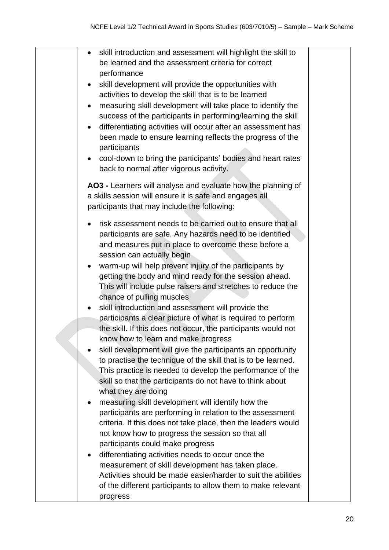| skill introduction and assessment will highlight the skill to              |  |
|----------------------------------------------------------------------------|--|
| be learned and the assessment criteria for correct                         |  |
| performance                                                                |  |
| skill development will provide the opportunities with                      |  |
| activities to develop the skill that is to be learned                      |  |
| measuring skill development will take place to identify the<br>$\bullet$   |  |
| success of the participants in performing/learning the skill               |  |
| differentiating activities will occur after an assessment has<br>$\bullet$ |  |
| been made to ensure learning reflects the progress of the                  |  |
| participants                                                               |  |
| cool-down to bring the participants' bodies and heart rates<br>$\bullet$   |  |
| back to normal after vigorous activity.                                    |  |
|                                                                            |  |
| AO3 - Learners will analyse and evaluate how the planning of               |  |
| a skills session will ensure it is safe and engages all                    |  |
| participants that may include the following:                               |  |
|                                                                            |  |
| risk assessment needs to be carried out to ensure that all<br>$\bullet$    |  |
| participants are safe. Any hazards need to be identified                   |  |
| and measures put in place to overcome these before a                       |  |
| session can actually begin                                                 |  |
| warm-up will help prevent injury of the participants by<br>$\bullet$       |  |
| getting the body and mind ready for the session ahead.                     |  |
| This will include pulse raisers and stretches to reduce the                |  |
| chance of pulling muscles                                                  |  |
| skill introduction and assessment will provide the                         |  |
| participants a clear picture of what is required to perform                |  |
| the skill. If this does not occur, the participants would not              |  |
| know how to learn and make progress                                        |  |
| skill development will give the participants an opportunity                |  |
| to practise the technique of the skill that is to be learned.              |  |
| This practice is needed to develop the performance of the                  |  |
| skill so that the participants do not have to think about                  |  |
| what they are doing                                                        |  |
| measuring skill development will identify how the                          |  |
| participants are performing in relation to the assessment                  |  |
| criteria. If this does not take place, then the leaders would              |  |
|                                                                            |  |
| not know how to progress the session so that all                           |  |
| participants could make progress                                           |  |
| differentiating activities needs to occur once the<br>$\bullet$            |  |
| measurement of skill development has taken place.                          |  |
| Activities should be made easier/harder to suit the abilities              |  |
| of the different participants to allow them to make relevant               |  |
| progress                                                                   |  |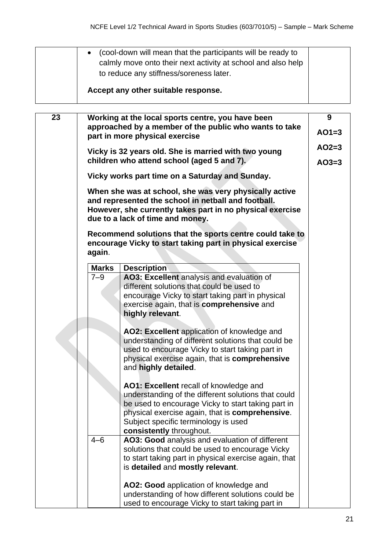|    | $\bullet$                                                                                                                                                                                                                     | (cool-down will mean that the participants will be ready to<br>calmly move onto their next activity at school and also help<br>to reduce any stiffness/soreness later. |         |  |  |  |
|----|-------------------------------------------------------------------------------------------------------------------------------------------------------------------------------------------------------------------------------|------------------------------------------------------------------------------------------------------------------------------------------------------------------------|---------|--|--|--|
|    |                                                                                                                                                                                                                               | Accept any other suitable response.                                                                                                                                    |         |  |  |  |
|    |                                                                                                                                                                                                                               |                                                                                                                                                                        |         |  |  |  |
| 23 |                                                                                                                                                                                                                               | Working at the local sports centre, you have been                                                                                                                      | 9       |  |  |  |
|    |                                                                                                                                                                                                                               | approached by a member of the public who wants to take<br>part in more physical exercise                                                                               | $AO1=3$ |  |  |  |
|    |                                                                                                                                                                                                                               | Vicky is 32 years old. She is married with two young                                                                                                                   | $AO2=3$ |  |  |  |
|    |                                                                                                                                                                                                                               | children who attend school (aged 5 and 7).                                                                                                                             | $AO3=3$ |  |  |  |
|    |                                                                                                                                                                                                                               | Vicky works part time on a Saturday and Sunday.                                                                                                                        |         |  |  |  |
|    | When she was at school, she was very physically active<br>and represented the school in netball and football.<br>However, she currently takes part in no physical exercise<br>due to a lack of time and money.                |                                                                                                                                                                        |         |  |  |  |
|    | again.                                                                                                                                                                                                                        | Recommend solutions that the sports centre could take to<br>encourage Vicky to start taking part in physical exercise                                                  |         |  |  |  |
|    | <b>Marks</b>                                                                                                                                                                                                                  | <b>Description</b>                                                                                                                                                     |         |  |  |  |
|    | $7 - 9$<br>AO3: Excellent analysis and evaluation of<br>different solutions that could be used to<br>encourage Vicky to start taking part in physical<br>exercise again, that is <b>comprehensive</b> and<br>highly relevant. |                                                                                                                                                                        |         |  |  |  |
|    |                                                                                                                                                                                                                               | AO2: Excellent application of knowledge and<br>understanding of different solutions that could be                                                                      |         |  |  |  |

used to encourage Vicky to start taking part in physical exercise again, that is **comprehensive**

understanding of the different solutions that could be used to encourage Vicky to start taking part in physical exercise again, that is **comprehensive**.

solutions that could be used to encourage Vicky to start taking part in physical exercise again, that

understanding of how different solutions could be used to encourage Vicky to start taking part in

**AO1: Excellent** recall of knowledge and

Subject specific terminology is used

is **detailed** and **mostly relevant**.

4–6 **AO3: Good** analysis and evaluation of different

**AO2: Good** application of knowledge and

**consistently** throughout.

and **highly detailed**.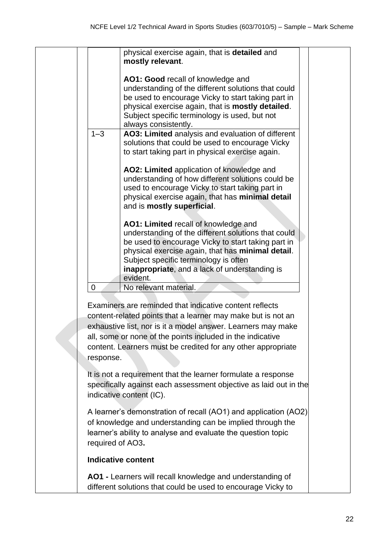| physical exercise again, that is <b>detailed</b> and<br>mostly relevant.                                                                                                                                                                                                                                                           |
|------------------------------------------------------------------------------------------------------------------------------------------------------------------------------------------------------------------------------------------------------------------------------------------------------------------------------------|
| AO1: Good recall of knowledge and<br>understanding of the different solutions that could<br>be used to encourage Vicky to start taking part in<br>physical exercise again, that is mostly detailed.<br>Subject specific terminology is used, but not<br>always consistently.                                                       |
| $1 - 3$<br>AO3: Limited analysis and evaluation of different<br>solutions that could be used to encourage Vicky<br>to start taking part in physical exercise again.                                                                                                                                                                |
| AO2: Limited application of knowledge and<br>understanding of how different solutions could be<br>used to encourage Vicky to start taking part in<br>physical exercise again, that has minimal detail<br>and is mostly superficial.                                                                                                |
| AO1: Limited recall of knowledge and<br>understanding of the different solutions that could<br>be used to encourage Vicky to start taking part in<br>physical exercise again, that has minimal detail.<br>Subject specific terminology is often<br>inappropriate, and a lack of understanding is<br>evident.                       |
| 0<br>No relevant material.                                                                                                                                                                                                                                                                                                         |
| Examiners are reminded that indicative content reflects<br>content-related points that a learner may make but is not an<br>exhaustive list, nor is it a model answer. Learners may make<br>all, some or none of the points included in the indicative<br>content. Learners must be credited for any other appropriate<br>response. |
| It is not a requirement that the learner formulate a response<br>specifically against each assessment objective as laid out in the<br>indicative content (IC).                                                                                                                                                                     |
| A learner's demonstration of recall (AO1) and application (AO2)<br>of knowledge and understanding can be implied through the<br>learner's ability to analyse and evaluate the question topic<br>required of AO3.                                                                                                                   |
| <b>Indicative content</b>                                                                                                                                                                                                                                                                                                          |
| AO1 - Learners will recall knowledge and understanding of                                                                                                                                                                                                                                                                          |

different solutions that could be used to encourage Vicky to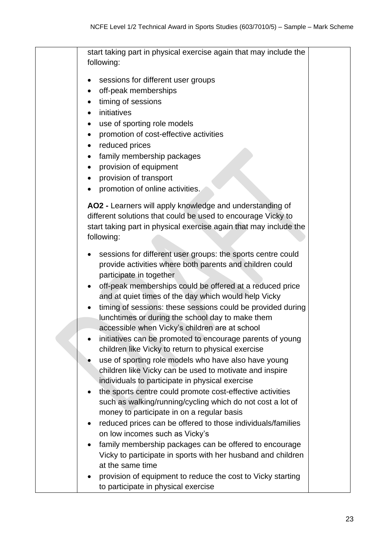| start taking part in physical exercise again that may include the<br>following:                                                                                                                                                                                                                                                                                                                                                                                                                                                                                                                                                                                                                                                                                                                                                                                                                                                                                                                                          |
|--------------------------------------------------------------------------------------------------------------------------------------------------------------------------------------------------------------------------------------------------------------------------------------------------------------------------------------------------------------------------------------------------------------------------------------------------------------------------------------------------------------------------------------------------------------------------------------------------------------------------------------------------------------------------------------------------------------------------------------------------------------------------------------------------------------------------------------------------------------------------------------------------------------------------------------------------------------------------------------------------------------------------|
| sessions for different user groups<br>off-peak memberships<br>timing of sessions<br>initiatives<br>use of sporting role models<br>promotion of cost-effective activities<br>reduced prices<br>family membership packages<br>$\bullet$<br>provision of equipment<br>provision of transport<br>promotion of online activities.<br>AO2 - Learners will apply knowledge and understanding of<br>different solutions that could be used to encourage Vicky to                                                                                                                                                                                                                                                                                                                                                                                                                                                                                                                                                                 |
| start taking part in physical exercise again that may include the<br>following:                                                                                                                                                                                                                                                                                                                                                                                                                                                                                                                                                                                                                                                                                                                                                                                                                                                                                                                                          |
| sessions for different user groups: the sports centre could<br>٠<br>provide activities where both parents and children could<br>participate in together<br>off-peak memberships could be offered at a reduced price<br>and at quiet times of the day which would help Vicky<br>timing of sessions: these sessions could be provided during<br>lunchtimes or during the school day to make them<br>accessible when Vicky's children are at school<br>initiatives can be promoted to encourage parents of young<br>children like Vicky to return to physical exercise<br>use of sporting role models who have also have young<br>children like Vicky can be used to motivate and inspire<br>individuals to participate in physical exercise<br>the sports centre could promote cost-effective activities<br>such as walking/running/cycling which do not cost a lot of<br>money to participate in on a regular basis<br>reduced prices can be offered to those individuals/families<br>٠<br>on low incomes such as Vicky's |
| family membership packages can be offered to encourage<br>Vicky to participate in sports with her husband and children<br>at the same time                                                                                                                                                                                                                                                                                                                                                                                                                                                                                                                                                                                                                                                                                                                                                                                                                                                                               |
| provision of equipment to reduce the cost to Vicky starting<br>to participate in physical exercise                                                                                                                                                                                                                                                                                                                                                                                                                                                                                                                                                                                                                                                                                                                                                                                                                                                                                                                       |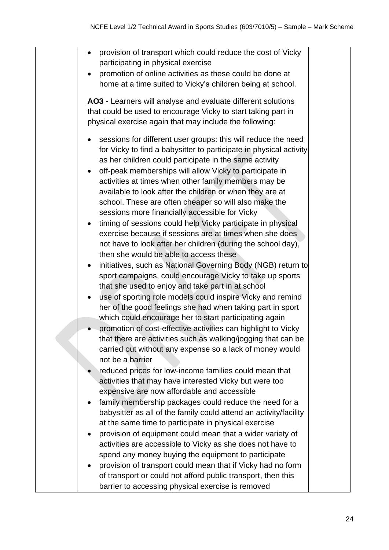| provision of transport which could reduce the cost of Vicky<br>participating in physical exercise<br>promotion of online activities as these could be done at<br>home at a time suited to Vicky's children being at school.<br>AO3 - Learners will analyse and evaluate different solutions<br>that could be used to encourage Vicky to start taking part in<br>physical exercise again that may include the following:<br>sessions for different user groups: this will reduce the need<br>for Vicky to find a babysitter to participate in physical activity<br>as her children could participate in the same activity<br>off-peak memberships will allow Vicky to participate in<br>activities at times when other family members may be<br>available to look after the children or when they are at                                                                                                                       |  |
|-------------------------------------------------------------------------------------------------------------------------------------------------------------------------------------------------------------------------------------------------------------------------------------------------------------------------------------------------------------------------------------------------------------------------------------------------------------------------------------------------------------------------------------------------------------------------------------------------------------------------------------------------------------------------------------------------------------------------------------------------------------------------------------------------------------------------------------------------------------------------------------------------------------------------------|--|
| school. These are often cheaper so will also make the<br>sessions more financially accessible for Vicky<br>timing of sessions could help Vicky participate in physical<br>exercise because if sessions are at times when she does<br>not have to look after her children (during the school day),<br>then she would be able to access these<br>initiatives, such as National Governing Body (NGB) return to<br>sport campaigns, could encourage Vicky to take up sports<br>that she used to enjoy and take part in at school<br>use of sporting role models could inspire Vicky and remind<br>$\bullet$<br>her of the good feelings she had when taking part in sport<br>which could encourage her to start participating again<br>promotion of cost-effective activities can highlight to Vicky<br>that there are activities such as walking/jogging that can be<br>carried out without any expense so a lack of money would |  |
| not be a barrier<br>reduced prices for low-income families could mean that<br>activities that may have interested Vicky but were too<br>expensive are now affordable and accessible<br>family membership packages could reduce the need for a<br>babysitter as all of the family could attend an activity/facility<br>at the same time to participate in physical exercise<br>provision of equipment could mean that a wider variety of<br>$\bullet$<br>activities are accessible to Vicky as she does not have to<br>spend any money buying the equipment to participate<br>provision of transport could mean that if Vicky had no form<br>$\bullet$<br>of transport or could not afford public transport, then this<br>barrier to accessing physical exercise is removed                                                                                                                                                    |  |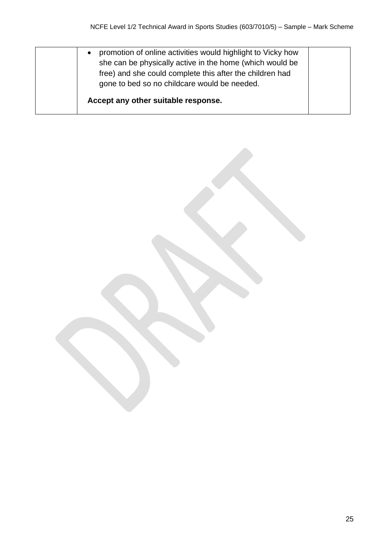| promotion of online activities would highlight to Vicky how<br>$\bullet$<br>she can be physically active in the home (which would be<br>free) and she could complete this after the children had<br>gone to bed so no childcare would be needed. |  |
|--------------------------------------------------------------------------------------------------------------------------------------------------------------------------------------------------------------------------------------------------|--|
| Accept any other suitable response.                                                                                                                                                                                                              |  |

25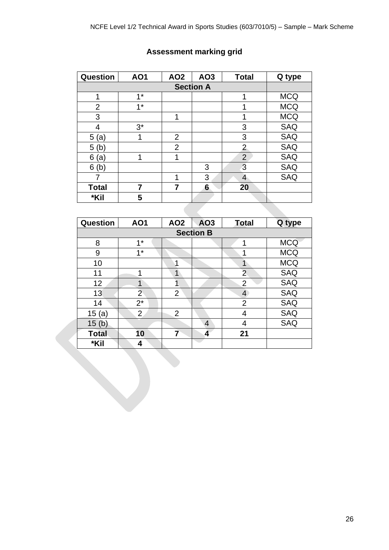| Question       | <b>AO1</b> | AO <sub>2</sub> | AO3 | <b>Total</b>   | Q type     |
|----------------|------------|-----------------|-----|----------------|------------|
|                |            |                 |     |                |            |
| 1              | $1*$       |                 |     | 1              | <b>MCQ</b> |
| $\overline{2}$ | $1^*$      |                 |     |                | <b>MCQ</b> |
| 3              |            | 1               |     |                | <b>MCQ</b> |
| 4              | $3^*$      |                 |     | 3              | <b>SAQ</b> |
| 5(a)           | 1          | $\overline{2}$  |     | 3              | <b>SAQ</b> |
| 5<br>(b)       |            | $\overline{2}$  |     | $\overline{2}$ | <b>SAQ</b> |
| 6<br>(a)       | 1          | 1               |     | $\overline{2}$ | <b>SAQ</b> |
| 6<br>(b)       |            |                 | 3   | 3              | <b>SAQ</b> |
|                |            | 1               | 3   | 4              | <b>SAQ</b> |
| <b>Total</b>   | 7          | 7               | 6   | 20             |            |
| *Kil           | 5          |                 |     |                |            |

# **Assessment marking grid**

| <b>Question</b> | <b>AO1</b>       | AO <sub>2</sub> | AO3 | <b>Total</b>   | Q type     |  |  |  |
|-----------------|------------------|-----------------|-----|----------------|------------|--|--|--|
|                 | <b>Section B</b> |                 |     |                |            |  |  |  |
| 8               | $1*$             |                 |     | 1              | <b>MCQ</b> |  |  |  |
| 9               | $1^*$            |                 |     | 1              | <b>MCQ</b> |  |  |  |
| 10              |                  | 1               |     |                | <b>MCQ</b> |  |  |  |
| 11              | 1                | 1               |     | $\overline{2}$ | <b>SAQ</b> |  |  |  |
| 12              | 1                |                 |     | $\overline{2}$ | <b>SAQ</b> |  |  |  |
| 13              | 2 <sup>5</sup>   | $\overline{2}$  |     | $\overline{4}$ | <b>SAQ</b> |  |  |  |
| 14              | $2^*$            |                 |     | $\overline{2}$ | <b>SAQ</b> |  |  |  |
| 15(a)           | $\overline{2}$   | $\overline{2}$  |     | 4              | <b>SAQ</b> |  |  |  |
| 15(b)           |                  |                 | 4   | 4              | <b>SAQ</b> |  |  |  |
| <b>Total</b>    | 10               | 7               | 4   | 21             |            |  |  |  |
| *Kil            | 4                |                 |     |                |            |  |  |  |